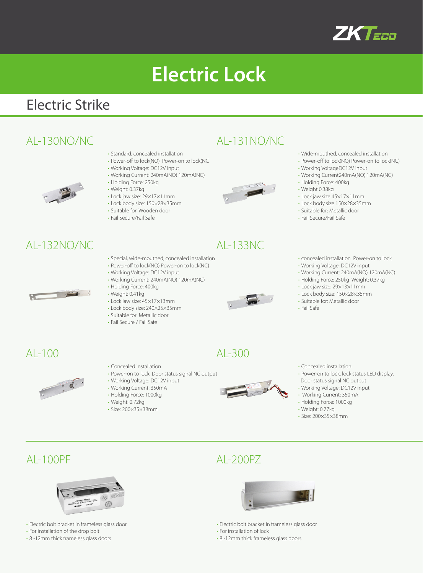

# **Electric Lock**

### Electric Strike

### AL-130NO/NC AL-131NO/NC

- Standard, concealed installation
- Power-off to lock(NO) Power-on to lock(NC
- Working Voltage: DC12V input
	- Working Current: 240mA(NO) 120mA(NC)
	- Holding Force: 250kg
	- Weight: 0.37kg
- Lock jaw size: 29×17×11mm
- Lock body size: 150×28×35mm
- Suitable for: Wooden door
- Fail Secure/Fail Safe

### AL-132NO/NC

 $\equiv$ 

- Special, wide-mouthed, concealed installation
- Power-off to lock(NO) Power-on to lock(NC)
- Working Voltage: DC12V input
- Working Current: 240mA(NO) 120mA(NC)
- Holding Force: 400kg
- Weight: 0.41kg • Lock jaw size: 45×17×13mm
- Lock body size: 240×25×35mm
- Suitable for: Metallic door
- Fail Secure / Fail Safe



- Wide-mouthed, concealed installation
- Power-off to lock(NO) Power-on to lock(NC)
- Working VoltageDC12V input
- Working Current240mA(NO) 120mA(NC)
- Holding Force: 400kg
- Weight 0.38kg
- Lock jaw size 45×17×11mm
- Lock body size 150×28×35mm
- Suitable for: Metallic door
- Fail Secure/Fail Safe
- concealed installation Power-on to lock
- Working Voltage: DC12V input
- Working Current: 240mA(NO) 120mA(NC)
- Holding Force: 250kg Weight: 0.37kg
- Lock jaw size: 29×13×11mm
- Lock body size: 150×28×35mm
- Suitable for: Metallic door
- Fail Safe

 $AI - 100$ 



- Concealed installation
- Power-on to lock, Door status signal NC output
- Working Voltage: DC12V input
- Working Current: 350mA
- Holding Force: 1000kg
- Weight: 0.72kg
- Size: 200×35×38mm



 $AI - 300$ 

- Concealed installation
- Power-on to lock, lock status LED display,
- Door status signal NC output
- Working Voltage: DC12V input
- Working Current: 350mA
- Holding Force: 1000kg
- Weight: 0.77kg
- Size: 200×35×38mm



- Electric bolt bracket in frameless glass door
- For installation of the drop bolt
- 8 -12mm thick frameless glass doors

### AL-100PF AL-200PZ



- Electric bolt bracket in frameless glass door
- For installation of lock
- 8 -12mm thick frameless glass doors



- AL-133NC
-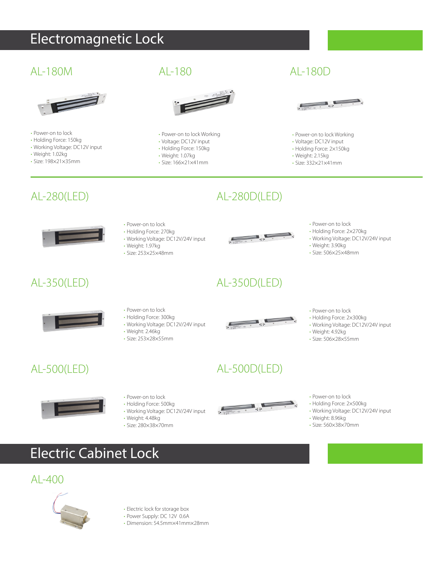# Electromagnetic Lock

### AL-180M AL-180D



- Power-on to lock
- Holding Force: 150kg
- Working Voltage: DC12V input
- Weight: 1.02kg
- Size: 198×21×35mm



- Power-on to lock Working
- Voltage: DC12V input • Holding Force: 150kg
- Weight: 1.07kg

 $AI - 180$ 

- Size: 166×21×41mm
	-



- Power-on to lock Working
- Voltage: DC12V input
- Holding Force: 2×150kg
- Weight: 2.15kg
- Size: 332×21×41mm

### AL-280(LED)



- Power-on to lock • Holding Force: 270kg
- Working Voltage: DC12V/24V input
- Weight: 1.97kg • Size: 253×25×48mm
- 

AL-350D(LED)

AL-280D(LED)

- Power-on to lock • Holding Force: 2×270kg
- Working Voltage: DC12V/24V input
- Weight: 3.90kg
- Size: 506×25×48mm
- 

### AL-350(LED)



### • Power-on to lock

- Holding Force: 300kg
- Working Voltage: DC12V/24V input
- Weight: 2.46kg
- Size: 253×28×55mm



### • Power-on to lock • Holding Force: 2×300kg

- Working Voltage: DC12V/24V input
- Weight: 4.92kg
- Size: 506×28×55mm

AL-500(LED)



- Power-on to lock
- Holding Force: 500kg
- Working Voltage: DC12V/24V input
- Weight: 4.48kg • Size: 280×38×70mm



AL-500D(LED)

- Power-on to lock
- Holding Force: 2×500kg
- Working Voltage: DC12V/24V input
- Weight: 8.96kg • Size: 560×38×70mm

Electric Cabinet Lock

### AL-400



- Electric lock for storage box
- Power Supply: DC 12V 0.6A
- Dimension: 54.5mm×41mm×28mm